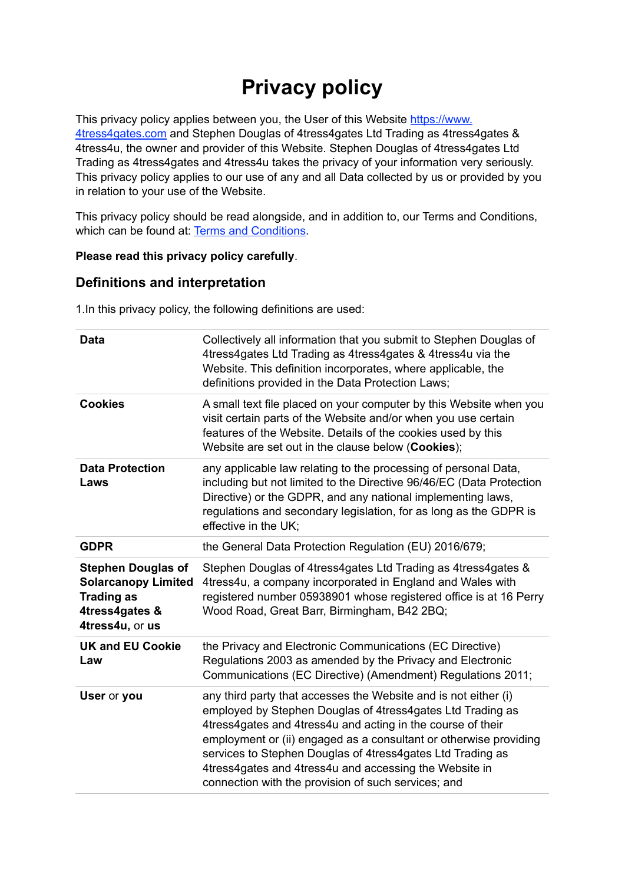# **Privacy policy**

This privacy policy applies between you, the User of this Website [https://www.](http://4tress4gates.com) [4tress4gates.com](http://4tress4gates.com) and Stephen Douglas of 4tress4gates Ltd Trading as 4tress4gates & 4tress4u, the owner and provider of this Website. Stephen Douglas of 4tress4gates Ltd Trading as 4tress4gates and 4tress4u takes the privacy of your information very seriously. This privacy policy applies to our use of any and all Data collected by us or provided by you in relation to your use of the Website.

This privacy policy should be read alongside, and in addition to, our Terms and Conditions, which can be found at: [Terms and Conditions](https://4tress4gates.com/Newsletter-links-downloads/).

### **Please read this privacy policy carefully**.

# **Definitions and interpretation**

1.In this privacy policy, the following definitions are used:

| Data                                                                                                              | Collectively all information that you submit to Stephen Douglas of<br>4tress4gates Ltd Trading as 4tress4gates & 4tress4u via the<br>Website. This definition incorporates, where applicable, the<br>definitions provided in the Data Protection Laws;                                                                                                                                                                                           |  |
|-------------------------------------------------------------------------------------------------------------------|--------------------------------------------------------------------------------------------------------------------------------------------------------------------------------------------------------------------------------------------------------------------------------------------------------------------------------------------------------------------------------------------------------------------------------------------------|--|
| <b>Cookies</b>                                                                                                    | A small text file placed on your computer by this Website when you<br>visit certain parts of the Website and/or when you use certain<br>features of the Website. Details of the cookies used by this<br>Website are set out in the clause below (Cookies);                                                                                                                                                                                       |  |
| <b>Data Protection</b><br>Laws                                                                                    | any applicable law relating to the processing of personal Data,<br>including but not limited to the Directive 96/46/EC (Data Protection<br>Directive) or the GDPR, and any national implementing laws,<br>regulations and secondary legislation, for as long as the GDPR is<br>effective in the UK;                                                                                                                                              |  |
| <b>GDPR</b>                                                                                                       | the General Data Protection Regulation (EU) 2016/679;                                                                                                                                                                                                                                                                                                                                                                                            |  |
| <b>Stephen Douglas of</b><br><b>Solarcanopy Limited</b><br><b>Trading as</b><br>4tress4gates &<br>4tress4u, or us | Stephen Douglas of 4tress4gates Ltd Trading as 4tress4gates &<br>4tress4u, a company incorporated in England and Wales with<br>registered number 05938901 whose registered office is at 16 Perry<br>Wood Road, Great Barr, Birmingham, B42 2BQ;                                                                                                                                                                                                  |  |
| <b>UK and EU Cookie</b><br>Law                                                                                    | the Privacy and Electronic Communications (EC Directive)<br>Regulations 2003 as amended by the Privacy and Electronic<br>Communications (EC Directive) (Amendment) Regulations 2011;                                                                                                                                                                                                                                                             |  |
| User or you                                                                                                       | any third party that accesses the Website and is not either (i)<br>employed by Stephen Douglas of 4tress4gates Ltd Trading as<br>4tress4gates and 4tress4u and acting in the course of their<br>employment or (ii) engaged as a consultant or otherwise providing<br>services to Stephen Douglas of 4tress4gates Ltd Trading as<br>4tress4gates and 4tress4u and accessing the Website in<br>connection with the provision of such services; and |  |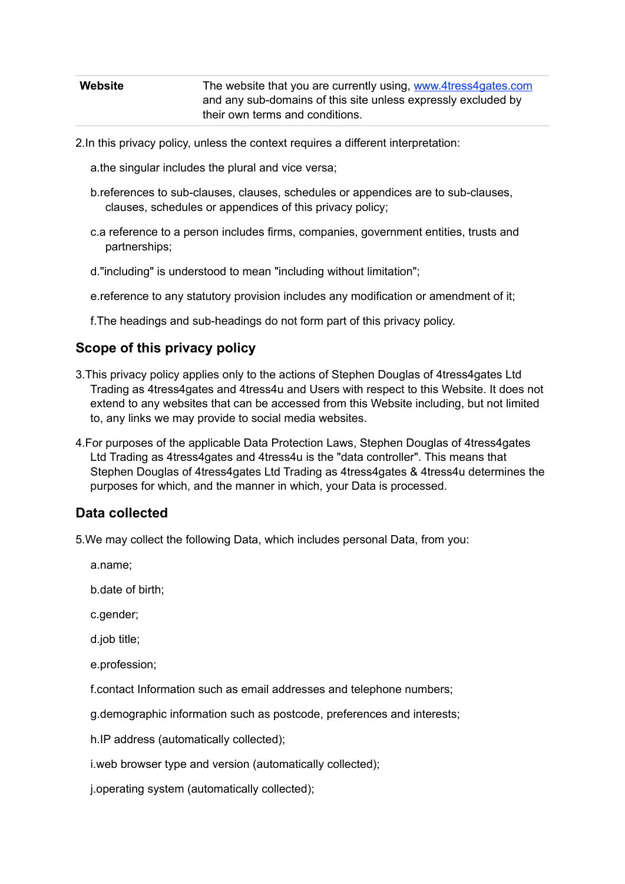| Website | The website that you are currently using, www.4tress4gates.com |
|---------|----------------------------------------------------------------|
|         | and any sub-domains of this site unless expressly excluded by  |
|         | their own terms and conditions.                                |

- 2.In this privacy policy, unless the context requires a different interpretation:
	- a.the singular includes the plural and vice versa;
	- b.references to sub-clauses, clauses, schedules or appendices are to sub-clauses, clauses, schedules or appendices of this privacy policy;
	- c.a reference to a person includes firms, companies, government entities, trusts and partnerships;
	- d."including" is understood to mean "including without limitation";
	- e.reference to any statutory provision includes any modification or amendment of it;
	- f.The headings and sub-headings do not form part of this privacy policy.

### **Scope of this privacy policy**

- 3.This privacy policy applies only to the actions of Stephen Douglas of 4tress4gates Ltd Trading as 4tress4gates and 4tress4u and Users with respect to this Website. It does not extend to any websites that can be accessed from this Website including, but not limited to, any links we may provide to social media websites.
- 4.For purposes of the applicable Data Protection Laws, Stephen Douglas of 4tress4gates Ltd Trading as 4tress4gates and 4tress4u is the "data controller". This means that Stephen Douglas of 4tress4gates Ltd Trading as 4tress4gates & 4tress4u determines the purposes for which, and the manner in which, your Data is processed.

### **Data collected**

- 5.We may collect the following Data, which includes personal Data, from you:
	- a.name;
	- b.date of birth;
	- c.gender;
	- d.job title;
	- e.profession;
	- f.contact Information such as email addresses and telephone numbers;
	- g.demographic information such as postcode, preferences and interests;
	- h.IP address (automatically collected);
	- i.web browser type and version (automatically collected);
	- j.operating system (automatically collected);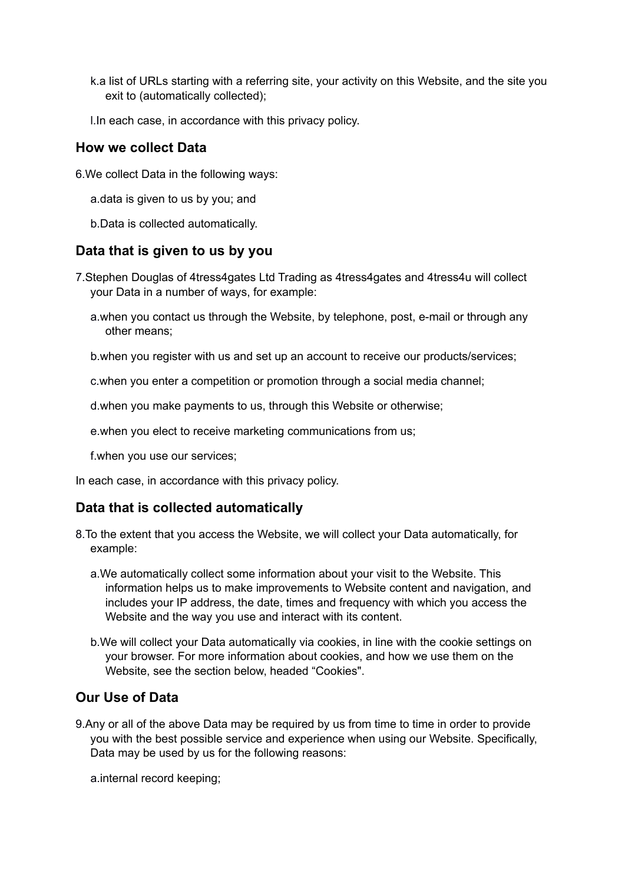- k.a list of URLs starting with a referring site, your activity on this Website, and the site you exit to (automatically collected);
- l.In each case, in accordance with this privacy policy.

## **How we collect Data**

- 6.We collect Data in the following ways:
	- a.data is given to us by you; and
	- b.Data is collected automatically.

### **Data that is given to us by you**

- 7.Stephen Douglas of 4tress4gates Ltd Trading as 4tress4gates and 4tress4u will collect your Data in a number of ways, for example:
	- a.when you contact us through the Website, by telephone, post, e-mail or through any other means;
	- b.when you register with us and set up an account to receive our products/services;
	- c.when you enter a competition or promotion through a social media channel;
	- d.when you make payments to us, through this Website or otherwise;
	- e.when you elect to receive marketing communications from us;
	- f.when you use our services;

In each case, in accordance with this privacy policy.

# **Data that is collected automatically**

- 8.To the extent that you access the Website, we will collect your Data automatically, for example:
	- a.We automatically collect some information about your visit to the Website. This information helps us to make improvements to Website content and navigation, and includes your IP address, the date, times and frequency with which you access the Website and the way you use and interact with its content.
	- b.We will collect your Data automatically via cookies, in line with the cookie settings on your browser. For more information about cookies, and how we use them on the Website, see the section below, headed "Cookies".

# **Our Use of Data**

9.Any or all of the above Data may be required by us from time to time in order to provide you with the best possible service and experience when using our Website. Specifically, Data may be used by us for the following reasons:

a.internal record keeping;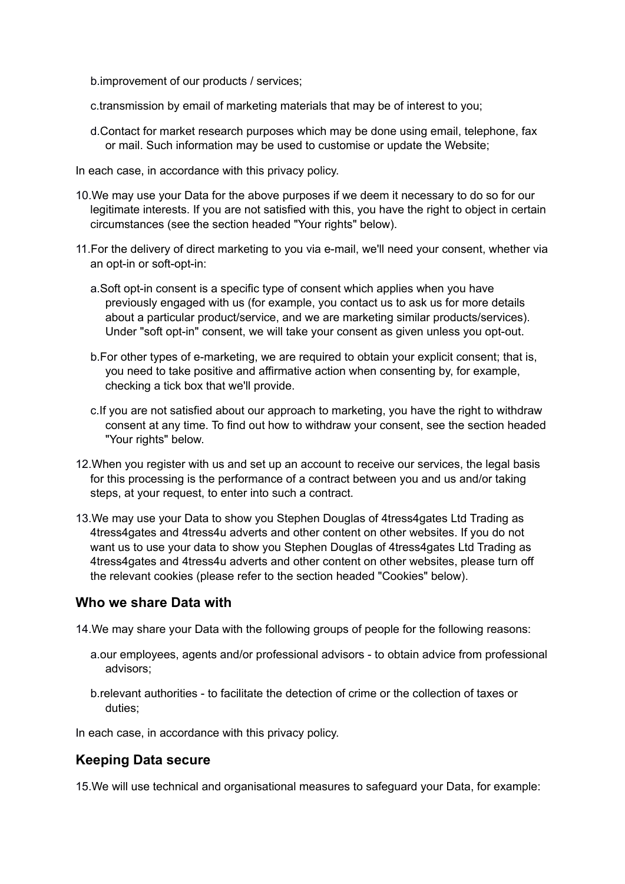b.improvement of our products / services;

- c.transmission by email of marketing materials that may be of interest to you;
- d.Contact for market research purposes which may be done using email, telephone, fax or mail. Such information may be used to customise or update the Website;
- In each case, in accordance with this privacy policy.
- 10.We may use your Data for the above purposes if we deem it necessary to do so for our legitimate interests. If you are not satisfied with this, you have the right to object in certain circumstances (see the section headed "Your rights" below).
- 11.For the delivery of direct marketing to you via e-mail, we'll need your consent, whether via an opt-in or soft-opt-in:
	- a.Soft opt-in consent is a specific type of consent which applies when you have previously engaged with us (for example, you contact us to ask us for more details about a particular product/service, and we are marketing similar products/services). Under "soft opt-in" consent, we will take your consent as given unless you opt-out.
	- b.For other types of e-marketing, we are required to obtain your explicit consent; that is, you need to take positive and affirmative action when consenting by, for example, checking a tick box that we'll provide.
	- c.If you are not satisfied about our approach to marketing, you have the right to withdraw consent at any time. To find out how to withdraw your consent, see the section headed "Your rights" below.
- 12.When you register with us and set up an account to receive our services, the legal basis for this processing is the performance of a contract between you and us and/or taking steps, at your request, to enter into such a contract.
- 13.We may use your Data to show you Stephen Douglas of 4tress4gates Ltd Trading as 4tress4gates and 4tress4u adverts and other content on other websites. If you do not want us to use your data to show you Stephen Douglas of 4tress4gates Ltd Trading as 4tress4gates and 4tress4u adverts and other content on other websites, please turn off the relevant cookies (please refer to the section headed "Cookies" below).

# **Who we share Data with**

14.We may share your Data with the following groups of people for the following reasons:

- a.our employees, agents and/or professional advisors to obtain advice from professional advisors;
- b.relevant authorities to facilitate the detection of crime or the collection of taxes or duties;

In each case, in accordance with this privacy policy.

# **Keeping Data secure**

15.We will use technical and organisational measures to safeguard your Data, for example: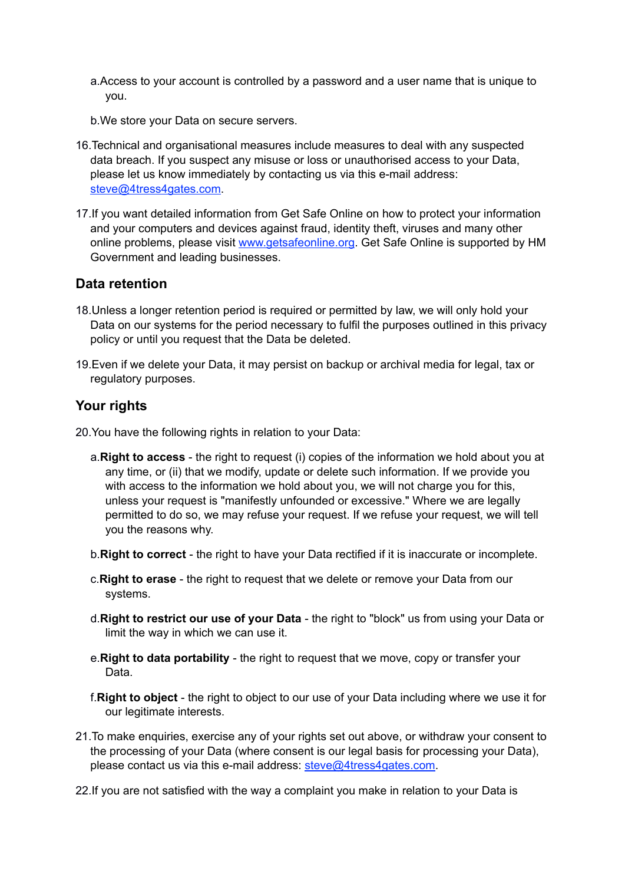- a.Access to your account is controlled by a password and a user name that is unique to you.
- b.We store your Data on secure servers.
- 16.Technical and organisational measures include measures to deal with any suspected data breach. If you suspect any misuse or loss or unauthorised access to your Data, please let us know immediately by contacting us via this e-mail address: [steve@4tress4gates.com](mailto:steve@4tress4gates.com).
- 17.If you want detailed information from Get Safe Online on how to protect your information and your computers and devices against fraud, identity theft, viruses and many other online problems, please visit [www.getsafeonline.org](https://www.getsafeonline.org). Get Safe Online is supported by HM Government and leading businesses.

### **Data retention**

- 18.Unless a longer retention period is required or permitted by law, we will only hold your Data on our systems for the period necessary to fulfil the purposes outlined in this privacy policy or until you request that the Data be deleted.
- 19.Even if we delete your Data, it may persist on backup or archival media for legal, tax or regulatory purposes.

### **Your rights**

20.You have the following rights in relation to your Data:

- a.**Right to access** the right to request (i) copies of the information we hold about you at any time, or (ii) that we modify, update or delete such information. If we provide you with access to the information we hold about you, we will not charge you for this, unless your request is "manifestly unfounded or excessive." Where we are legally permitted to do so, we may refuse your request. If we refuse your request, we will tell you the reasons why.
- b.**Right to correct** the right to have your Data rectified if it is inaccurate or incomplete.
- c.**Right to erase** the right to request that we delete or remove your Data from our systems.
- d.**Right to restrict our use of your Data** the right to "block" us from using your Data or limit the way in which we can use it.
- e.**Right to data portability** the right to request that we move, copy or transfer your Data.
- f.**Right to object** the right to object to our use of your Data including where we use it for our legitimate interests.
- 21.To make enquiries, exercise any of your rights set out above, or withdraw your consent to the processing of your Data (where consent is our legal basis for processing your Data), please contact us via this e-mail address: [steve@4tress4gates.com.](mailto:steve@4tress4gates.com)
- 22.If you are not satisfied with the way a complaint you make in relation to your Data is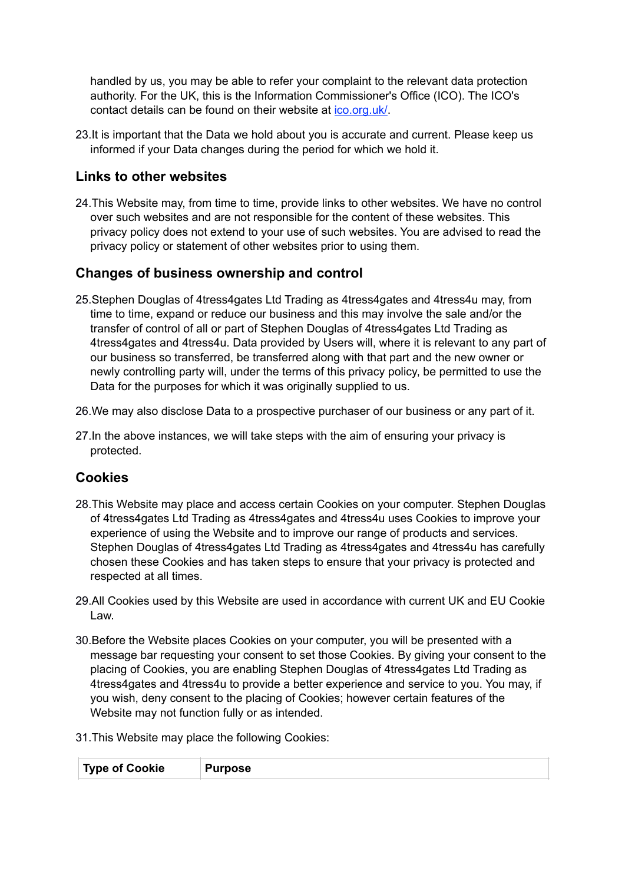handled by us, you may be able to refer your complaint to the relevant data protection authority. For the UK, this is the Information Commissioner's Office (ICO). The ICO's contact details can be found on their website at [ico.org.uk/](https://ico.org.uk/).

23.It is important that the Data we hold about you is accurate and current. Please keep us informed if your Data changes during the period for which we hold it.

# **Links to other websites**

24.This Website may, from time to time, provide links to other websites. We have no control over such websites and are not responsible for the content of these websites. This privacy policy does not extend to your use of such websites. You are advised to read the privacy policy or statement of other websites prior to using them.

# **Changes of business ownership and control**

- 25.Stephen Douglas of 4tress4gates Ltd Trading as 4tress4gates and 4tress4u may, from time to time, expand or reduce our business and this may involve the sale and/or the transfer of control of all or part of Stephen Douglas of 4tress4gates Ltd Trading as 4tress4gates and 4tress4u. Data provided by Users will, where it is relevant to any part of our business so transferred, be transferred along with that part and the new owner or newly controlling party will, under the terms of this privacy policy, be permitted to use the Data for the purposes for which it was originally supplied to us.
- 26.We may also disclose Data to a prospective purchaser of our business or any part of it.
- 27.In the above instances, we will take steps with the aim of ensuring your privacy is protected.

# **Cookies**

- 28.This Website may place and access certain Cookies on your computer. Stephen Douglas of 4tress4gates Ltd Trading as 4tress4gates and 4tress4u uses Cookies to improve your experience of using the Website and to improve our range of products and services. Stephen Douglas of 4tress4gates Ltd Trading as 4tress4gates and 4tress4u has carefully chosen these Cookies and has taken steps to ensure that your privacy is protected and respected at all times.
- 29.All Cookies used by this Website are used in accordance with current UK and EU Cookie Law.
- 30.Before the Website places Cookies on your computer, you will be presented with a message bar requesting your consent to set those Cookies. By giving your consent to the placing of Cookies, you are enabling Stephen Douglas of 4tress4gates Ltd Trading as 4tress4gates and 4tress4u to provide a better experience and service to you. You may, if you wish, deny consent to the placing of Cookies; however certain features of the Website may not function fully or as intended.
- 31.This Website may place the following Cookies: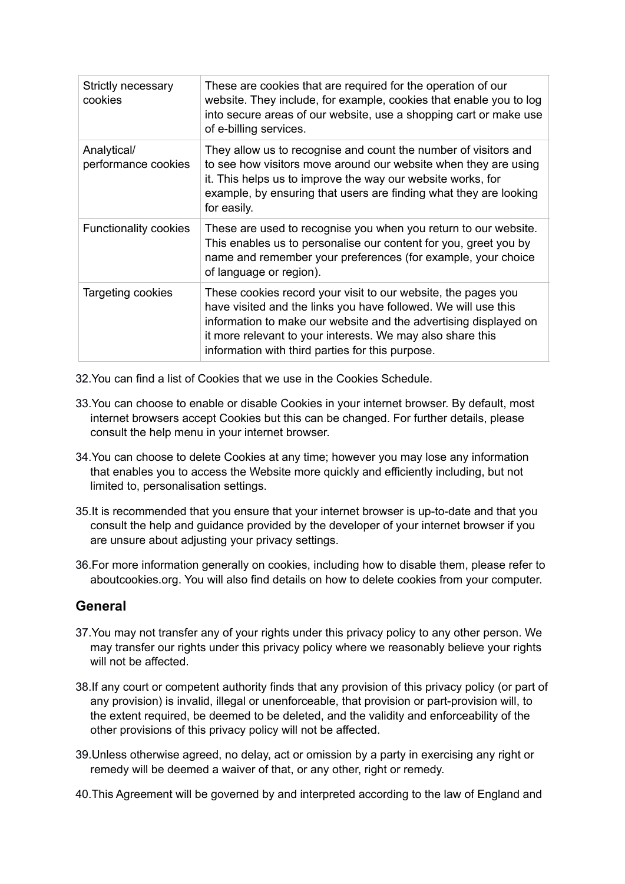| Strictly necessary<br>cookies      | These are cookies that are required for the operation of our<br>website. They include, for example, cookies that enable you to log<br>into secure areas of our website, use a shopping cart or make use<br>of e-billing services.                                                                                     |
|------------------------------------|-----------------------------------------------------------------------------------------------------------------------------------------------------------------------------------------------------------------------------------------------------------------------------------------------------------------------|
| Analytical/<br>performance cookies | They allow us to recognise and count the number of visitors and<br>to see how visitors move around our website when they are using<br>it. This helps us to improve the way our website works, for<br>example, by ensuring that users are finding what they are looking<br>for easily.                                 |
| <b>Functionality cookies</b>       | These are used to recognise you when you return to our website.<br>This enables us to personalise our content for you, greet you by<br>name and remember your preferences (for example, your choice<br>of language or region).                                                                                        |
| Targeting cookies                  | These cookies record your visit to our website, the pages you<br>have visited and the links you have followed. We will use this<br>information to make our website and the advertising displayed on<br>it more relevant to your interests. We may also share this<br>information with third parties for this purpose. |

- 32.You can find a list of Cookies that we use in the Cookies Schedule.
- 33.You can choose to enable or disable Cookies in your internet browser. By default, most internet browsers accept Cookies but this can be changed. For further details, please consult the help menu in your internet browser.
- 34.You can choose to delete Cookies at any time; however you may lose any information that enables you to access the Website more quickly and efficiently including, but not limited to, personalisation settings.
- 35.It is recommended that you ensure that your internet browser is up-to-date and that you consult the help and guidance provided by the developer of your internet browser if you are unsure about adjusting your privacy settings.
- 36.For more information generally on cookies, including how to disable them, please refer to aboutcookies.org. You will also find details on how to delete cookies from your computer.

# **General**

- 37.You may not transfer any of your rights under this privacy policy to any other person. We may transfer our rights under this privacy policy where we reasonably believe your rights will not be affected.
- 38.If any court or competent authority finds that any provision of this privacy policy (or part of any provision) is invalid, illegal or unenforceable, that provision or part-provision will, to the extent required, be deemed to be deleted, and the validity and enforceability of the other provisions of this privacy policy will not be affected.
- 39.Unless otherwise agreed, no delay, act or omission by a party in exercising any right or remedy will be deemed a waiver of that, or any other, right or remedy.
- 40.This Agreement will be governed by and interpreted according to the law of England and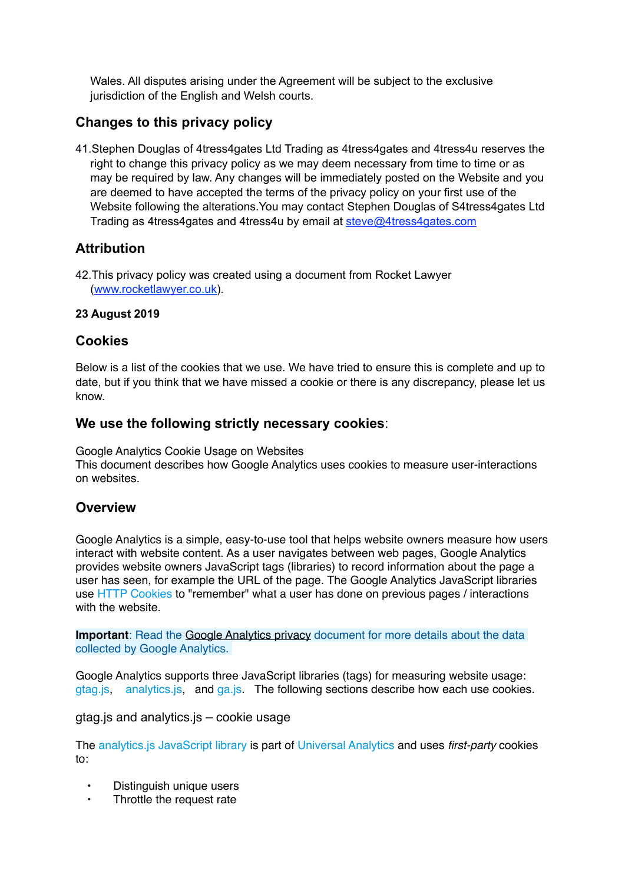Wales. All disputes arising under the Agreement will be subject to the exclusive jurisdiction of the English and Welsh courts.

# **Changes to this privacy policy**

41.Stephen Douglas of 4tress4gates Ltd Trading as 4tress4gates and 4tress4u reserves the right to change this privacy policy as we may deem necessary from time to time or as may be required by law. Any changes will be immediately posted on the Website and you are deemed to have accepted the terms of the privacy policy on your first use of the Website following the alterations.You may contact Stephen Douglas of S4tress4gates Ltd Trading as 4tress4gates and 4tress4u by email at [steve@4tress4gates.com](mailto:steve@4tress4gates.com)

# **Attribution**

42.This privacy policy was created using a document from Rocket Lawyer ([www.rocketlawyer.co.uk\)](https://www.rocketlawyer.co.uk).

### **23 August 2019**

# **Cookies**

Below is a list of the cookies that we use. We have tried to ensure this is complete and up to date, but if you think that we have missed a cookie or there is any discrepancy, please let us know.

# **We use the following strictly necessary cookies**:

Google Analytics Cookie Usage on Websites This document describes how Google Analytics uses cookies to measure user-interactions on websites.

# **Overview**

Google Analytics is a simple, easy-to-use tool that helps website owners measure how users interact with website content. As a user navigates between web pages, Google Analytics provides website owners JavaScript tags (libraries) to record information about the page a user has seen, for example the URL of the page. The Google Analytics JavaScript libraries use [HTTP Cookies](https://en.wikipedia.org/wiki/HTTP_cookie) to "remember" what a user has done on previous pages / interactions with the website.

**Important**: Read the [Google Analytics privacy](https://support.google.com/analytics/answer/6004245) document for more details about the data collected by Google Analytics.

Google Analytics supports three JavaScript libraries (tags) for measuring website usage: [gtag.js](https://developers.google.com/analytics/devguides/collection/gtagjs/), [analytics.js,](https://developers.google.com/analytics/devguides/collection/analyticsjs/) and [ga.js](https://developers.google.com/analytics/devguides/collection/gajs/). The following sections describe how each use cookies.

gtag.js and analytics.js – cookie usage

The [analytics.js JavaScript library](https://developers.google.com/analytics/devguides/collection/analyticsjs/) is part of [Universal Analytics](https://support.google.com/analytics/bin/answer.py?answer=2790010) and uses *first-party* cookies to:

- Distinguish unique users
- Throttle the request rate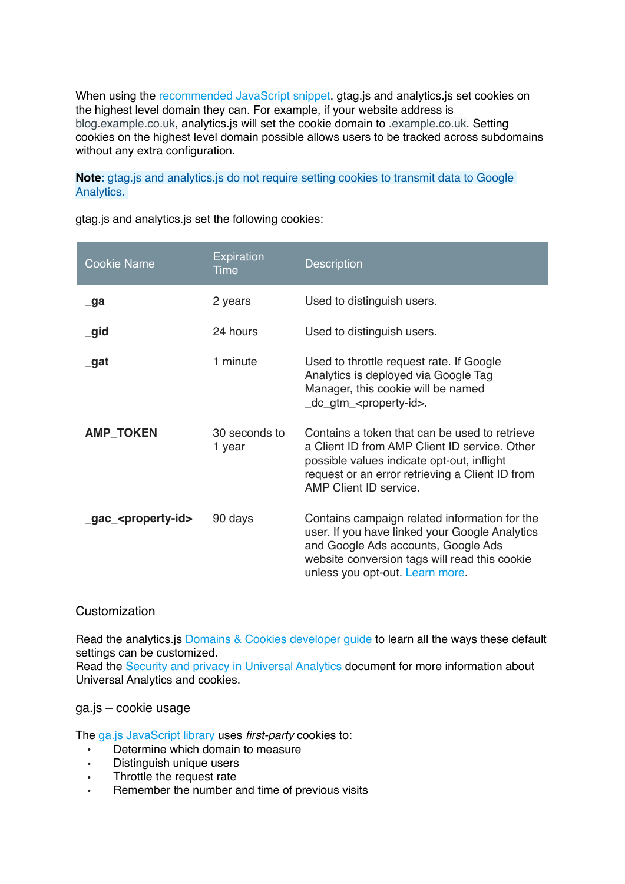When using the [recommended JavaScript snippet,](https://developers.google.com/analytics/devguides/collection/gtagjs/) gtag.js and analytics.js set cookies on the highest level domain they can. For example, if your website address is blog.example.co.uk, analytics.js will set the cookie domain to .example.co.uk. Setting cookies on the highest level domain possible allows users to be tracked across subdomains without any extra configuration.

**Note**: gtag.js and analytics.js do not require setting cookies to transmit data to Google Analytics.

| <b>Cookie Name</b>                | <b>Expiration</b><br>Time | <b>Description</b>                                                                                                                                                                                                         |
|-----------------------------------|---------------------------|----------------------------------------------------------------------------------------------------------------------------------------------------------------------------------------------------------------------------|
| $\Box$ ga                         | 2 years                   | Used to distinguish users.                                                                                                                                                                                                 |
| $\overline{\phantom{a}}$ gid      | 24 hours                  | Used to distinguish users.                                                                                                                                                                                                 |
| _gat                              | 1 minute                  | Used to throttle request rate. If Google<br>Analytics is deployed via Google Tag<br>Manager, this cookie will be named<br>_dc_gtm_ <property-id>.</property-id>                                                            |
| <b>AMP_TOKEN</b>                  | 30 seconds to<br>1 year   | Contains a token that can be used to retrieve<br>a Client ID from AMP Client ID service. Other<br>possible values indicate opt-out, inflight<br>request or an error retrieving a Client ID from<br>AMP Client ID service.  |
| _gac_ <property-id></property-id> | 90 days                   | Contains campaign related information for the<br>user. If you have linked your Google Analytics<br>and Google Ads accounts, Google Ads<br>website conversion tags will read this cookie<br>unless you opt-out. Learn more. |

gtag.js and analytics.js set the following cookies:

### **Customization**

Read the analytics.js [Domains & Cookies developer guide](https://developers.google.com/analytics/devguides/collection/analyticsjs/domains) to learn all the ways these default settings can be customized.

Read the [Security and privacy in Universal Analytics](https://support.google.com/analytics/bin/answer.py?answer=2838718) document for more information about Universal Analytics and cookies.

### ga.js – cookie usage

The [ga.js JavaScript library](https://developers.google.com/analytics/devguides/collection/gajs/) uses *first-party* cookies to:

- Determine which domain to measure
- Distinguish unique users
- Throttle the request rate
- Remember the number and time of previous visits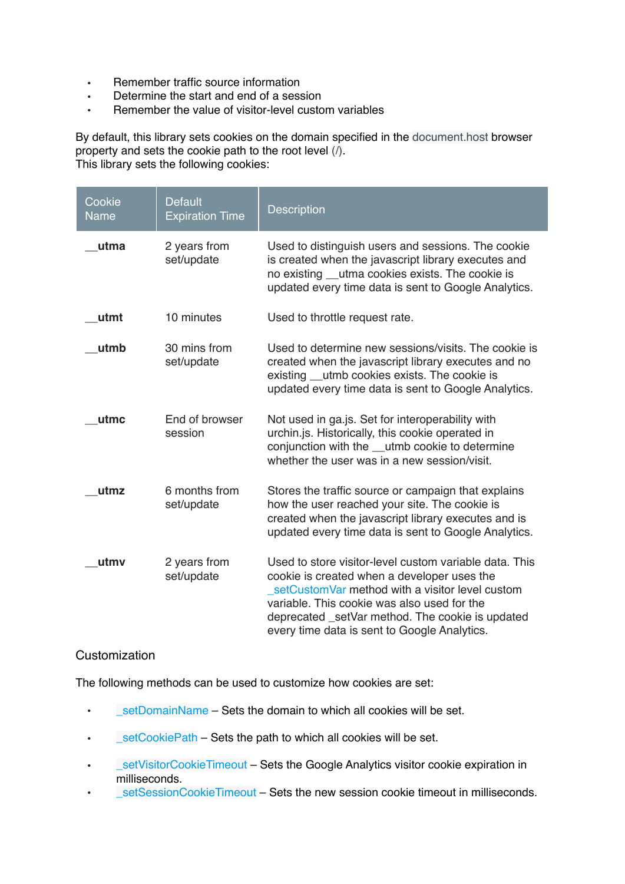- Remember traffic source information
- Determine the start and end of a session<br>• Bemember the value of visitor-level custo
- Remember the value of visitor-level custom variables

By default, this library sets cookies on the domain specified in the document.host browser property and sets the cookie path to the root level (/). This library sets the following cookies:

| Cookie<br><b>Name</b> | <b>Default</b><br><b>Expiration Time</b> | <b>Description</b>                                                                                                                                                                                                                                                                                          |
|-----------------------|------------------------------------------|-------------------------------------------------------------------------------------------------------------------------------------------------------------------------------------------------------------------------------------------------------------------------------------------------------------|
| utma                  | 2 years from<br>set/update               | Used to distinguish users and sessions. The cookie<br>is created when the javascript library executes and<br>no existing __utma cookies exists. The cookie is<br>updated every time data is sent to Google Analytics.                                                                                       |
| utmt                  | 10 minutes                               | Used to throttle request rate.                                                                                                                                                                                                                                                                              |
| utmb                  | 30 mins from<br>set/update               | Used to determine new sessions/visits. The cookie is<br>created when the javascript library executes and no<br>existing __utmb cookies exists. The cookie is<br>updated every time data is sent to Google Analytics.                                                                                        |
| utmc                  | End of browser<br>session                | Not used in ga.js. Set for interoperability with<br>urchin.js. Historically, this cookie operated in<br>conjunction with the __utmb cookie to determine<br>whether the user was in a new session/visit.                                                                                                     |
| utmz                  | 6 months from<br>set/update              | Stores the traffic source or campaign that explains<br>how the user reached your site. The cookie is<br>created when the javascript library executes and is<br>updated every time data is sent to Google Analytics.                                                                                         |
| utmv                  | 2 years from<br>set/update               | Used to store visitor-level custom variable data. This<br>cookie is created when a developer uses the<br>setCustomVar method with a visitor level custom<br>variable. This cookie was also used for the<br>deprecated _setVar method. The cookie is updated<br>every time data is sent to Google Analytics. |

### **Customization**

The following methods can be used to customize how cookies are set:

- $\cdot$  setDomainName Sets the domain to which all cookies will be set.
- LetCookiePath Sets the path to which all cookies will be set.
- SetVisitorCookieTimeout Sets the Google Analytics visitor cookie expiration in milliseconds.
- LetSessionCookieTimeout Sets the new session cookie timeout in milliseconds.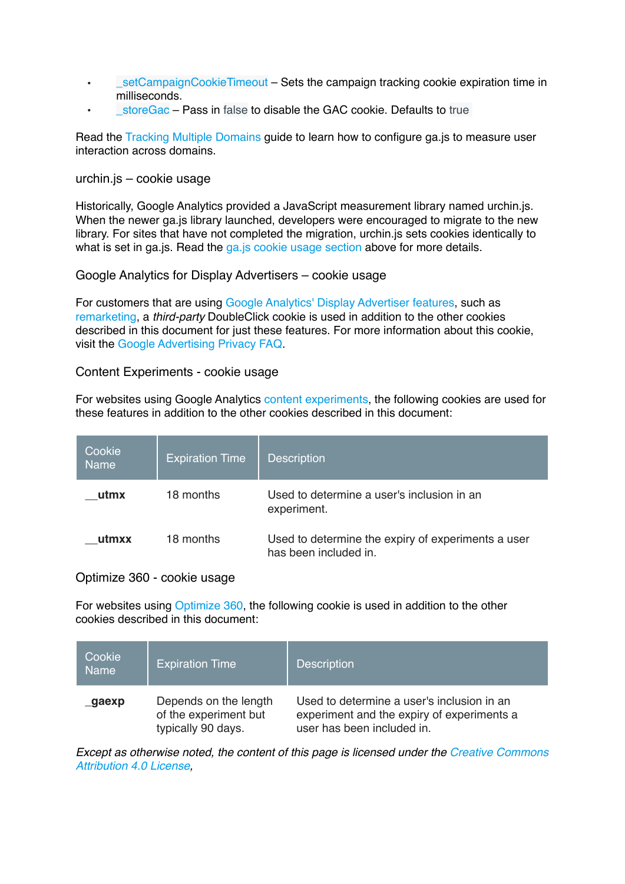- SetCampaignCookieTimeout Sets the campaign tracking cookie expiration time in milliseconds.
- StoreGac Pass in false to disable the GAC cookie. Defaults to true

Read the [Tracking Multiple Domains](https://developers.google.com/analytics/devguides/collection/gajs/gaTrackingSite) guide to learn how to configure ga.js to measure user interaction across domains.

#### urchin.js – cookie usage

Historically, Google Analytics provided a JavaScript measurement library named urchin.js. When the newer ga.js library launched, developers were encouraged to migrate to the new library. For sites that have not completed the migration, urchin.js sets cookies identically to what is set in ga.js. Read the ga.js cookie usage section above for more details.

#### Google Analytics for Display Advertisers – cookie usage

For customers that are using [Google Analytics' Display Advertiser features,](https://support.google.com/analytics/bin/answer.py?answer=2700409) such as [remarketing](https://marketingplatform.google.com/features/remarketing.html), a *third-party* DoubleClick cookie is used in addition to the other cookies described in this document for just these features. For more information about this cookie, visit the [Google Advertising Privacy FAQ.](https://www.google.com/policies/privacy/ads/#toc-analytics)

#### Content Experiments - cookie usage

For websites using Google Analytics [content experiments,](https://support.google.com/analytics/answer/1745147) the following cookies are used for these features in addition to the other cookies described in this document:

| Cookie<br><b>Name</b> | <b>Expiration Time</b> | <b>Description</b>                                                          |
|-----------------------|------------------------|-----------------------------------------------------------------------------|
| utmx                  | 18 months              | Used to determine a user's inclusion in an<br>experiment.                   |
| utmxx                 | 18 months              | Used to determine the expiry of experiments a user<br>has been included in. |

#### Optimize 360 - cookie usage

For websites using [Optimize 360,](https://www.google.com/analytics/360-suite/optimize/) the following cookie is used in addition to the other cookies described in this document:

| Cookie<br><b>Name</b> | <b>Expiration Time</b>                                               | <b>Description</b>                                                                                                     |
|-----------------------|----------------------------------------------------------------------|------------------------------------------------------------------------------------------------------------------------|
| gaexp                 | Depends on the length<br>of the experiment but<br>typically 90 days. | Used to determine a user's inclusion in an<br>experiment and the expiry of experiments a<br>user has been included in. |

*Except as otherwise noted, the content of this page is licensed under the [Creative Commons](https://creativecommons.org/licenses/by/4.0/)  [Attribution 4.0 License,](https://creativecommons.org/licenses/by/4.0/)*